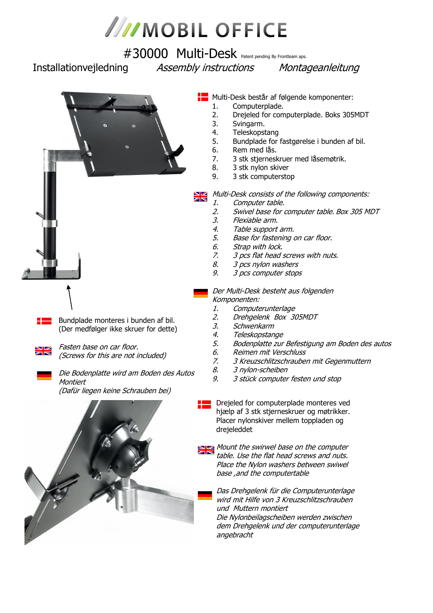

# #30000 Multi-Desk Patent pending By Frontteam aps.

Installationvejledning Assembly instructions Montageanleitung



Bundplade monteres i bunden af bil. (Der medfølger ikke skruer for dette)



Fasten base on car floor. (Screws for this are not included)

Die Bodenplatte wird am Boden des Autos **Montiert** 

(Dafür liegen keine Schrauben bei)



- **Multi-Desk består af følgende komponenter:** 
	- 1. Computerplade.
	- 2. Drejeled for computerplade. Boks 305MDT
	- 3. Svingarm.
	- 4. Teleskopstang
	- 5. Bundplade for fastgørelse i bunden af bil.
	- 6. Rem med lås.
	- 7. 3 stk stjerneskruer med låsemøtrik.
	- 8. 3 stk nylon skiver
	- 9. 3 stk computerstop

Multi-Desk consists of the following components:  $\overline{\mathbf{z}}$ 

- 1. Computer table.
- 2. Swivel base for computer table. Box 305 MDT
- 3. Flexiable arm.
- 4. Table support arm.
- 5. Base for fastening on car floor.
- 6. Strap with lock.
- 7. 3 pcs flat head screws with nuts.
- 8. 3 pcs nylon washers
- 9. 3 pcs computer stops
- Der Multi-Desk besteht aus folgenden Komponenten:
	- 1. Computerunterlage
	- 2. Drehgelenk Box 305MDT
	- 3. Schwenkarm
	- 4. Teleskopstange
	- 5. Bodenplatte zur Befestigung am Boden des autos
	- 6. Reimen mit Verschluss
	- 7. 3 Kreuzschlitzschrauben mit Gegenmuttern
	- 8. 3 nylon-scheiben
	- 9. 3 stück computer festen und stop

**PLA** Drejeled for computerplade monteres ved hjælp af 3 stk stjerneskruer og møtrikker. Placer nylonskiver mellem toppladen og drejeleddet

Mount the swirwel base on the computer table. Use the flat head screws and nuts. Place the Nylon washers between swiwel base ,and the computertable

Das Drehgelenk für die Computerunterlage wird mit Hilfe von 3 Kreuzschlitzschrauben und Muttern montiert Die Nylonbeilagscheiben werden zwischen dem Drehgelenk und der computerunterlage angebracht